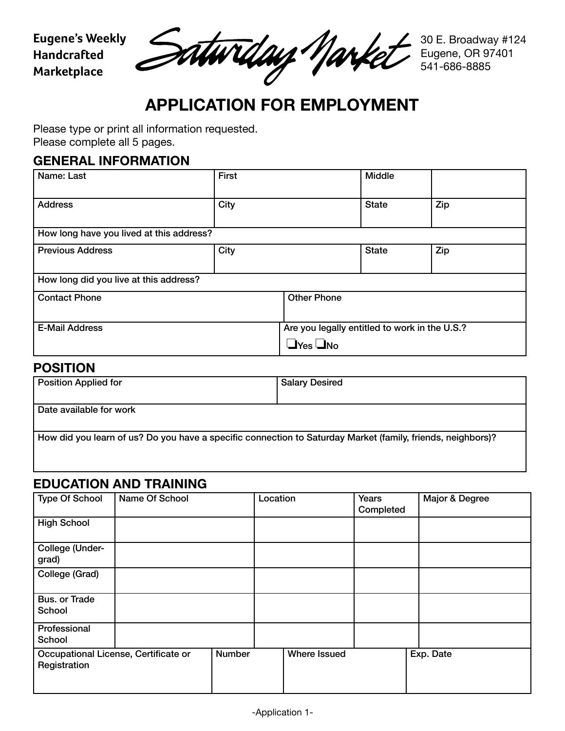**Eugene's Weekly Handcrafted Marketplace**

Saturday Narke

30 E. Broadway #124 Eugene, OR 97401 541-686-8885

# **APPLICATION FOR EMPLOYMENT**

Please type or print all information requested. Please complete all 5 pages.

### **GENERAL INFORMATION**

| Name: Last                               | <b>First</b> |                                                                       | <b>Middle</b> |     |
|------------------------------------------|--------------|-----------------------------------------------------------------------|---------------|-----|
| <b>Address</b>                           | City         |                                                                       | <b>State</b>  | Zip |
| How long have you lived at this address? |              |                                                                       |               |     |
| <b>Previous Address</b>                  | City         |                                                                       | <b>State</b>  | Zip |
| How long did you live at this address?   |              |                                                                       |               |     |
| <b>Contact Phone</b>                     |              | <b>Other Phone</b>                                                    |               |     |
| <b>E-Mail Address</b>                    |              | Are you legally entitled to work in the U.S.?<br>$\Box$ Yes $\Box$ No |               |     |

#### **POSITION**

| <b>Position Applied for</b>                                                                                 | <b>Salary Desired</b> |  |  |  |
|-------------------------------------------------------------------------------------------------------------|-----------------------|--|--|--|
|                                                                                                             |                       |  |  |  |
| Date available for work                                                                                     |                       |  |  |  |
|                                                                                                             |                       |  |  |  |
| How did you learn of us? Do you have a specific connection to Saturday Market (family, friends, neighbors)? |                       |  |  |  |
|                                                                                                             |                       |  |  |  |
|                                                                                                             |                       |  |  |  |

# **EDUCATION AND TRAINING**

| <b>Type Of School</b>          | Name Of School                       |               | Location |                     | Years<br>Completed | Major & Degree |
|--------------------------------|--------------------------------------|---------------|----------|---------------------|--------------------|----------------|
| <b>High School</b>             |                                      |               |          |                     |                    |                |
| College (Under-<br>grad)       |                                      |               |          |                     |                    |                |
| College (Grad)                 |                                      |               |          |                     |                    |                |
| <b>Bus. or Trade</b><br>School |                                      |               |          |                     |                    |                |
| Professional<br>School         |                                      |               |          |                     |                    |                |
| Registration                   | Occupational License, Certificate or | <b>Number</b> |          | <b>Where Issued</b> |                    | Exp. Date      |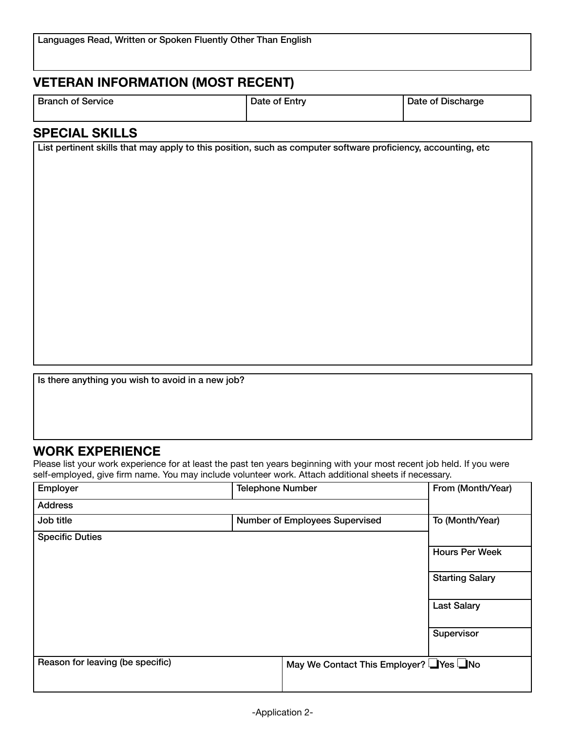# **VETERAN INFORMATION (MOST RECENT)**

|  | <b>Branch of Service</b> |
|--|--------------------------|
|--|--------------------------|

Date of Entry Date of Discharge

# **SPECIAL SKILLS**

List pertinent skills that may apply to this position, such as computer software proficiency, accounting, etc

Is there anything you wish to avoid in a new job?

#### **WORK EXPERIENCE**

Please list your work experience for at least the past ten years beginning with your most recent job held. If you were self-employed, give firm name. You may include volunteer work. Attach additional sheets if necessary.

| Employer                         | <b>Telephone Number</b>              | From (Month/Year)      |
|----------------------------------|--------------------------------------|------------------------|
| <b>Address</b>                   |                                      |                        |
| Job title                        | Number of Employees Supervised       | To (Month/Year)        |
| <b>Specific Duties</b>           |                                      |                        |
|                                  |                                      | <b>Hours Per Week</b>  |
|                                  |                                      | <b>Starting Salary</b> |
|                                  |                                      | <b>Last Salary</b>     |
|                                  |                                      | Supervisor             |
| Reason for leaving (be specific) | May We Contact This Employer? Ves No |                        |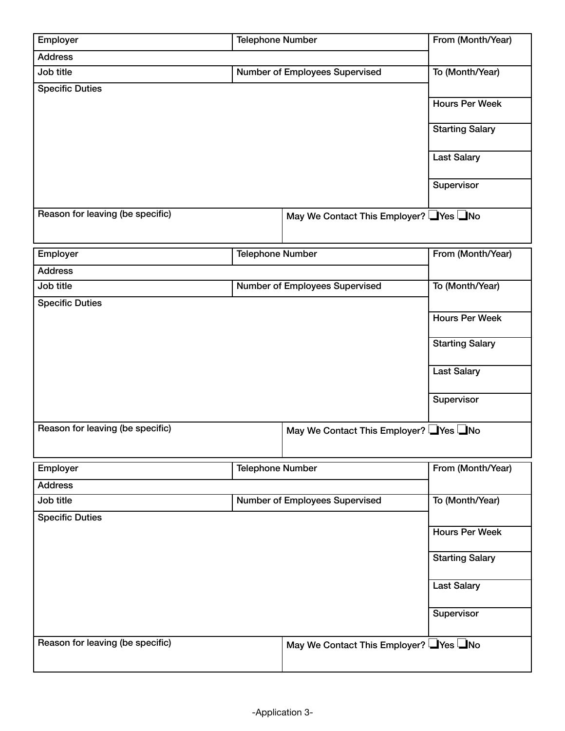| Employer                         | <b>Telephone Number</b> |                                       | From (Month/Year)      |
|----------------------------------|-------------------------|---------------------------------------|------------------------|
| <b>Address</b>                   |                         |                                       |                        |
| Job title                        |                         | Number of Employees Supervised        | To (Month/Year)        |
| <b>Specific Duties</b>           |                         |                                       |                        |
|                                  |                         |                                       | <b>Hours Per Week</b>  |
|                                  |                         |                                       | <b>Starting Salary</b> |
|                                  |                         |                                       | <b>Last Salary</b>     |
|                                  |                         |                                       | Supervisor             |
| Reason for leaving (be specific) |                         | May We Contact This Employer? Ves No  |                        |
| Employer                         | <b>Telephone Number</b> |                                       | From (Month/Year)      |
| <b>Address</b>                   |                         |                                       |                        |
| Job title                        |                         | Number of Employees Supervised        | To (Month/Year)        |
| <b>Specific Duties</b>           |                         |                                       |                        |
|                                  |                         |                                       | <b>Hours Per Week</b>  |
|                                  |                         |                                       | <b>Starting Salary</b> |
|                                  |                         |                                       | <b>Last Salary</b>     |
|                                  |                         |                                       | Supervisor             |
| Reason for leaving (be specific) |                         | May We Contact This Employer? Ves INo |                        |
| Employer                         | <b>Telephone Number</b> |                                       | From (Month/Year)      |
| <b>Address</b>                   |                         |                                       |                        |
| Job title                        |                         | Number of Employees Supervised        | To (Month/Year)        |
| <b>Specific Duties</b>           |                         |                                       |                        |
|                                  |                         |                                       | <b>Hours Per Week</b>  |
|                                  |                         |                                       | <b>Starting Salary</b> |
|                                  |                         |                                       | <b>Last Salary</b>     |
|                                  |                         |                                       | Supervisor             |
| Reason for leaving (be specific) |                         | May We Contact This Employer? Ves No  |                        |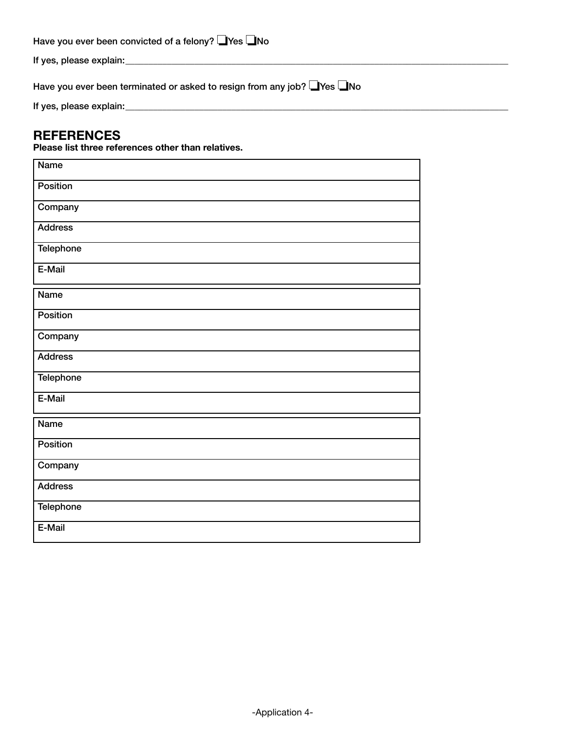| Have you ever been convicted of a felony? $\Box$ Yes $\Box$ No |  |
|----------------------------------------------------------------|--|
|----------------------------------------------------------------|--|

If yes, please explain:\_\_\_\_\_\_\_\_\_\_\_\_\_\_\_\_\_\_\_\_\_\_\_\_\_\_\_\_\_\_\_\_\_\_\_\_\_\_\_\_\_\_\_\_\_\_\_\_\_\_\_\_\_\_\_\_\_\_\_\_\_\_\_\_\_\_\_\_\_\_\_\_\_\_\_\_\_\_\_\_\_\_\_

Have you ever been terminated or asked to resign from any job? ■Yes ■No

If yes, please explain:\_\_\_\_\_\_\_\_\_\_\_\_\_\_\_\_\_\_\_\_\_\_\_\_\_\_\_\_\_\_\_\_\_\_\_\_\_\_\_\_\_\_\_\_\_\_\_\_\_\_\_\_\_\_\_\_\_\_\_\_\_\_\_\_\_\_\_\_\_\_\_\_\_\_\_\_\_\_\_\_\_\_\_

#### **REFERENCES**

**Please list three references other than relatives.**

| <b>Name</b>    |
|----------------|
| Position       |
| Company        |
| <b>Address</b> |
| Telephone      |
| E-Mail         |
| Name           |
| Position       |
| Company        |
| <b>Address</b> |
| Telephone      |
| E-Mail         |
| <b>Name</b>    |
| Position       |
| Company        |
| <b>Address</b> |
| Telephone      |
| E-Mail         |